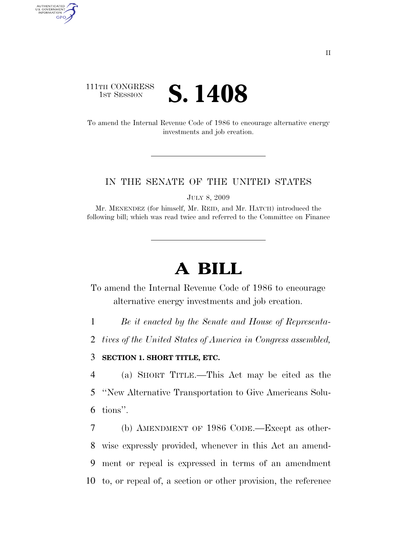### 111TH CONGRESS **IST SESSION S. 1408**

AUTHENTICATED<br>U.S. GOVERNMENT<br>INFORMATION GPO

> To amend the Internal Revenue Code of 1986 to encourage alternative energy investments and job creation.

#### IN THE SENATE OF THE UNITED STATES

JULY 8, 2009

Mr. MENENDEZ (for himself, Mr. REID, and Mr. HATCH) introduced the following bill; which was read twice and referred to the Committee on Finance

# **A BILL**

To amend the Internal Revenue Code of 1986 to encourage alternative energy investments and job creation.

1 *Be it enacted by the Senate and House of Representa-*

2 *tives of the United States of America in Congress assembled,* 

### 3 **SECTION 1. SHORT TITLE, ETC.**

4 (a) SHORT TITLE.—This Act may be cited as the 5 ''New Alternative Transportation to Give Americans Solu-6 tions''.

 (b) AMENDMENT OF 1986 CODE.—Except as other- wise expressly provided, whenever in this Act an amend- ment or repeal is expressed in terms of an amendment to, or repeal of, a section or other provision, the reference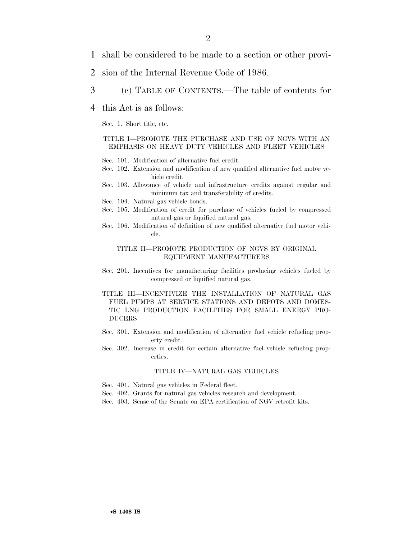- 1 shall be considered to be made to a section or other provi-
- 2 sion of the Internal Revenue Code of 1986.
- 3 (c) TABLE OF CONTENTS.—The table of contents for
- 4 this Act is as follows:

Sec. 1. Short title, etc.

#### TITLE I—PROMOTE THE PURCHASE AND USE OF NGVS WITH AN EMPHASIS ON HEAVY DUTY VEHICLES AND FLEET VEHICLES

- Sec. 101. Modification of alternative fuel credit.
- Sec. 102. Extension and modification of new qualified alternative fuel motor vehicle credit.
- Sec. 103. Allowance of vehicle and infrastructure credits against regular and minimum tax and transferability of credits.
- Sec. 104. Natural gas vehicle bonds.
- Sec. 105. Modification of credit for purchase of vehicles fueled by compressed natural gas or liquified natural gas.
- Sec. 106. Modification of definition of new qualified alternative fuel motor vehicle.

#### TITLE II—PROMOTE PRODUCTION OF NGVS BY ORIGINAL EQUIPMENT MANUFACTURERS

Sec. 201. Incentives for manufacturing facilities producing vehicles fueled by compressed or liquified natural gas.

#### TITLE III—INCENTIVIZE THE INSTALLATION OF NATURAL GAS FUEL PUMPS AT SERVICE STATIONS AND DEPOTS AND DOMES-TIC LNG PRODUCTION FACILITIES FOR SMALL ENERGY PRO-DUCERS

- Sec. 301. Extension and modification of alternative fuel vehicle refueling property credit.
- Sec. 302. Increase in credit for certain alternative fuel vehicle refueling properties.

#### TITLE IV—NATURAL GAS VEHICLES

- Sec. 401. Natural gas vehicles in Federal fleet.
- Sec. 402. Grants for natural gas vehicles research and development.
- Sec. 403. Sense of the Senate on EPA certification of NGV retrofit kits.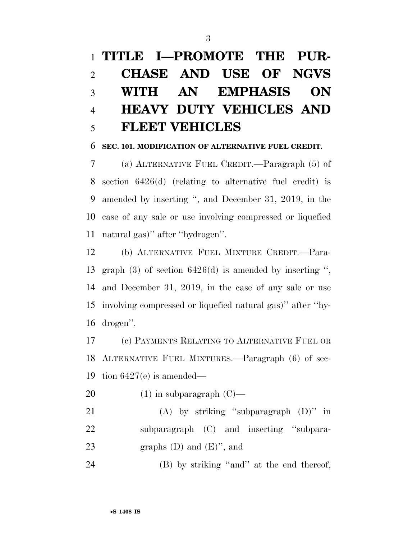# **TITLE I—PROMOTE THE PUR- CHASE AND USE OF NGVS WITH AN EMPHASIS ON HEAVY DUTY VEHICLES AND FLEET VEHICLES**

#### **SEC. 101. MODIFICATION OF ALTERNATIVE FUEL CREDIT.**

 (a) ALTERNATIVE FUEL CREDIT.—Paragraph (5) of section 6426(d) (relating to alternative fuel credit) is amended by inserting '', and December 31, 2019, in the case of any sale or use involving compressed or liquefied natural gas)'' after ''hydrogen''.

 (b) ALTERNATIVE FUEL MIXTURE CREDIT.—Para- graph (3) of section 6426(d) is amended by inserting '', and December 31, 2019, in the case of any sale or use involving compressed or liquefied natural gas)'' after ''hy-drogen''.

 (c) PAYMENTS RELATING TO ALTERNATIVE FUEL OR ALTERNATIVE FUEL MIXTURES.—Paragraph (6) of sec-19 tion  $6427(e)$  is amended—

20  $(1)$  in subparagraph  $(C)$ —

 (A) by striking ''subparagraph (D)'' in 22 subparagraph (C) and inserting "subpara-23 graphs  $(D)$  and  $(E)$ ", and

24 (B) by striking "and" at the end thereof,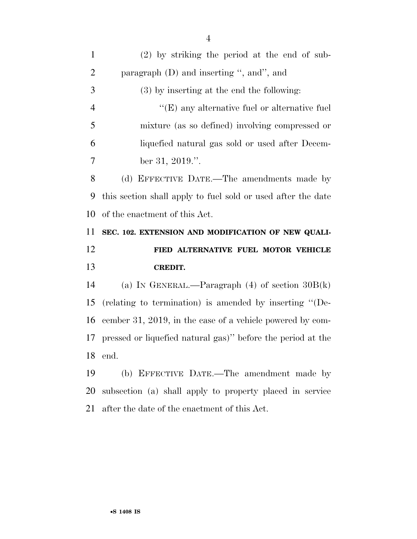| $\mathbf{1}$   | $(2)$ by striking the period at the end of sub-              |
|----------------|--------------------------------------------------------------|
| $\overline{2}$ | paragraph $(D)$ and inserting ", and", and                   |
| 3              | (3) by inserting at the end the following:                   |
| $\overline{4}$ | $\lq\lq(E)$ any alternative fuel or alternative fuel         |
| 5              | mixture (as so defined) involving compressed or              |
| 6              | liquefied natural gas sold or used after Decem-              |
| 7              | ber 31, 2019.".                                              |
| 8              | (d) EFFECTIVE DATE.—The amendments made by                   |
| 9              | this section shall apply to fuel sold or used after the date |
| 10             | of the enactment of this Act.                                |
|                |                                                              |
| 11             | SEC. 102. EXTENSION AND MODIFICATION OF NEW QUALI-           |
| 12             | FIED ALTERNATIVE FUEL MOTOR VEHICLE                          |
| 13             | <b>CREDIT.</b>                                               |
| 14             | (a) IN GENERAL.—Paragraph $(4)$ of section $30B(k)$          |
| 15             | (relating to termination) is amended by inserting "(De-      |
| 16             | cember 31, 2019, in the case of a vehicle powered by com-    |
| 17             | pressed or liquefied natural gas)" before the period at the  |
| 18             | end.                                                         |
| 19             | (b) EFFECTIVE DATE.—The amendment made by                    |
| 20             | subsection (a) shall apply to property placed in service     |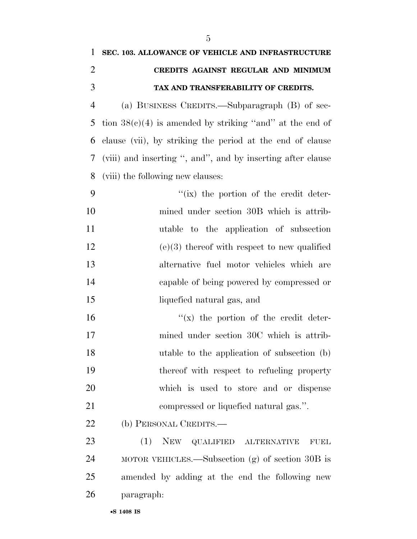| 1              | SEC. 103. ALLOWANCE OF VEHICLE AND INFRASTRUCTURE           |
|----------------|-------------------------------------------------------------|
| $\overline{2}$ | CREDITS AGAINST REGULAR AND MINIMUM                         |
| 3              | TAX AND TRANSFERABILITY OF CREDITS.                         |
| $\overline{4}$ | (a) BUSINESS CREDITS.—Subparagraph (B) of sec-              |
| 5              | tion $38(c)(4)$ is amended by striking "and" at the end of  |
| 6              | clause (vii), by striking the period at the end of clause   |
| 7              | (viii) and inserting ", and", and by inserting after clause |
| 8              | (viii) the following new clauses:                           |
| 9              | $f(x)$ the portion of the credit deter-                     |
| 10             | mined under section 30B which is attrib-                    |
| 11             | utable to the application of subsection                     |
| 12             | $(e)(3)$ thereof with respect to new qualified              |
| 13             | alternative fuel motor vehicles which are                   |
| 14             | capable of being powered by compressed or                   |
| 15             | liquefied natural gas, and                                  |
| 16             | $f(x)$ the portion of the credit deter-                     |
| 17             | mined under section 30C which is attrib-                    |
| 18             | utable to the application of subsection (b)                 |
| 19             | thereof with respect to refueling property                  |
| 20             | which is used to store and or dispense                      |
| 21             | compressed or liquefied natural gas.".                      |
| <u>22</u>      | (b) PERSONAL CREDITS.—                                      |
| 23             | (1) NEW QUALIFIED ALTERNATIVE<br><b>FUEL</b>                |
| 24             | MOTOR VEHICLES.—Subsection $(g)$ of section 30B is          |
| 25             | amended by adding at the end the following new              |
| 26             | paragraph:                                                  |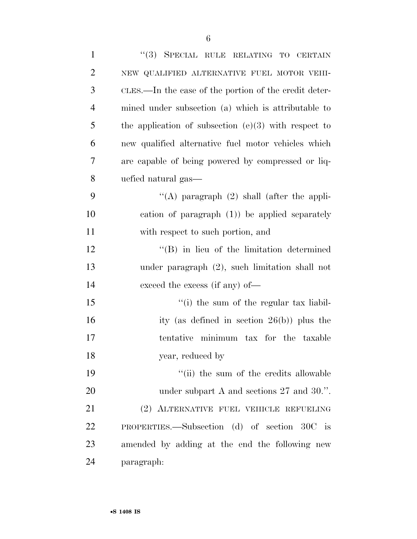| $\mathbf{1}$   | "(3) SPECIAL RULE RELATING TO CERTAIN                  |
|----------------|--------------------------------------------------------|
| $\overline{2}$ | NEW QUALIFIED ALTERNATIVE FUEL MOTOR VEHI-             |
| 3              | CLES.—In the case of the portion of the credit deter-  |
| $\overline{4}$ | mined under subsection (a) which is attributable to    |
| 5              | the application of subsection $(e)(3)$ with respect to |
| 6              | new qualified alternative fuel motor vehicles which    |
| 7              | are capable of being powered by compressed or liq-     |
| 8              | uefied natural gas—                                    |
| 9              | "(A) paragraph $(2)$ shall (after the appli-           |
| 10             | cation of paragraph $(1)$ ) be applied separately      |
| 11             | with respect to such portion, and                      |
| 12             | $\lq\lq (B)$ in lieu of the limitation determined      |
| 13             | under paragraph (2), such limitation shall not         |
| 14             | exceed the excess (if any) of—                         |
| 15             | "(i) the sum of the regular tax liabil-                |
| 16             | ity (as defined in section $26(b)$ ) plus the          |
| 17             | tentative minimum tax for the taxable                  |
| 18             | year, reduced by                                       |
| 19             | "(ii) the sum of the credits allowable                 |
| 20             | under subpart A and sections $27$ and $30$ .".         |
| 21             | (2) ALTERNATIVE FUEL VEHICLE REFUELING                 |
| 22             | PROPERTIES.—Subsection (d) of section 30C is           |
| 23             | amended by adding at the end the following new         |
| 24             | paragraph:                                             |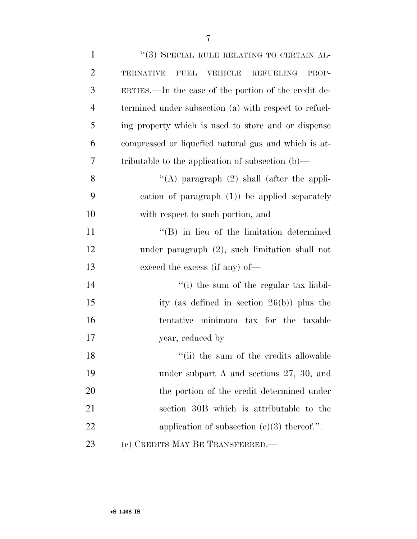| $\mathbf{1}$   | "(3) SPECIAL RULE RELATING TO CERTAIN AL-                               |
|----------------|-------------------------------------------------------------------------|
| $\overline{2}$ | <b>FUEL</b><br>VEHICLE<br><b>REFUELING</b><br><b>TERNATIVE</b><br>PROP- |
| 3              | ERTIES.—In the case of the portion of the credit de-                    |
| $\overline{4}$ | termined under subsection (a) with respect to refuel-                   |
| 5              | ing property which is used to store and or dispense                     |
| 6              | compressed or liquefied natural gas and which is at-                    |
| 7              | tributable to the application of subsection $(b)$ —                     |
| 8              | "(A) paragraph $(2)$ shall (after the appli-                            |
| 9              | cation of paragraph $(1)$ ) be applied separately                       |
| 10             | with respect to such portion, and                                       |
| 11             | $\lq\lq (B)$ in lieu of the limitation determined                       |
| 12             | under paragraph $(2)$ , such limitation shall not                       |
| 13             | exceed the excess (if any) of—                                          |
| 14             | "(i) the sum of the regular tax liabil-                                 |
| 15             | ity (as defined in section $26(b)$ ) plus the                           |
| 16             | tentative minimum tax for the taxable                                   |
| 17             | year, reduced by                                                        |
| 18             | "(ii) the sum of the credits allowable                                  |
| 19             | under subpart A and sections $27, 30,$ and                              |
| 20             | the portion of the credit determined under                              |
| 21             | section 30B which is attributable to the                                |
| 22             | application of subsection $(e)(3)$ thereof.".                           |
| 23             | (c) CREDITS MAY BE TRANSFERRED.—                                        |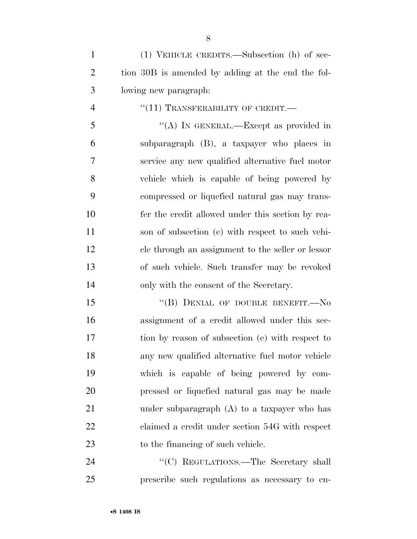(1) VEHICLE CREDITS.—Subsection (h) of sec- tion 30B is amended by adding at the end the fol-lowing new paragraph:

4  $((11)$  TRANSFERABILITY OF CREDIT.

 ''(A) IN GENERAL.—Except as provided in subparagraph (B), a taxpayer who places in service any new qualified alternative fuel motor vehicle which is capable of being powered by compressed or liquefied natural gas may trans- fer the credit allowed under this section by rea- son of subsection (e) with respect to such vehi- cle through an assignment to the seller or lessor of such vehicle. Such transfer may be revoked only with the consent of the Secretary.

15 "(B) DENIAL OF DOUBLE BENEFIT.—No assignment of a credit allowed under this sec- tion by reason of subsection (e) with respect to any new qualified alternative fuel motor vehicle which is capable of being powered by com- pressed or liquefied natural gas may be made under subparagraph (A) to a taxpayer who has claimed a credit under section 54G with respect to the financing of such vehicle.

24 "<sup>"</sup>(C) REGULATIONS.—The Secretary shall prescribe such regulations as necessary to en-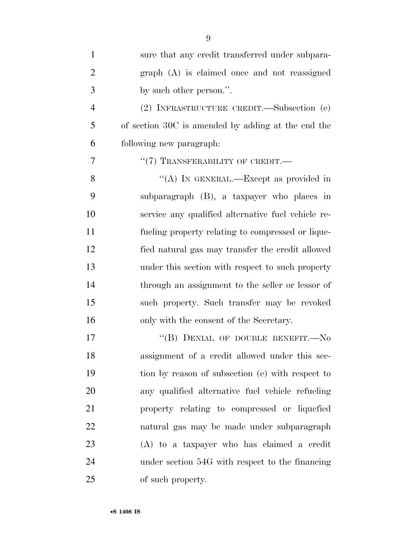| $\mathbf{1}$   | sure that any credit transferred under subpara-    |
|----------------|----------------------------------------------------|
| $\overline{2}$ | graph (A) is claimed once and not reassigned       |
| 3              | by such other person.".                            |
| $\overline{4}$ | (2) INFRASTRUCTURE CREDIT.—Subsection (e)          |
| 5              | of section 30C is amended by adding at the end the |
| 6              | following new paragraph:                           |
| 7              | $``(7)$ TRANSFERABILITY OF CREDIT.—                |
| 8              | "(A) IN GENERAL.—Except as provided in             |
| 9              | subparagraph (B), a taxpayer who places in         |
| 10             | service any qualified alternative fuel vehicle re- |
| 11             | fueling property relating to compressed or lique-  |
| 12             | fied natural gas may transfer the credit allowed   |
| 13             | under this section with respect to such property   |
| 14             | through an assignment to the seller or lessor of   |
| 15             | such property. Such transfer may be revoked        |
| 16             | only with the consent of the Secretary.            |
| 17             | "(B) DENIAL OF DOUBLE BENEFIT.-No                  |
| 18             | assignment of a credit allowed under this sec-     |
| 19             | tion by reason of subsection (e) with respect to   |
| 20             | any qualified alternative fuel vehicle refueling   |
| 21             | property relating to compressed or liquefied       |
| 22             | natural gas may be made under subparagraph         |
| 23             | (A) to a taxpayer who has claimed a credit         |
| 24             | under section 54G with respect to the financing    |
| 25             | of such property.                                  |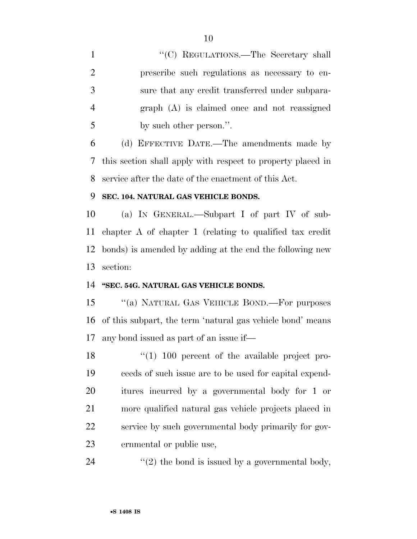1 ''(C) REGULATIONS.—The Secretary shall prescribe such regulations as necessary to en- sure that any credit transferred under subpara- graph (A) is claimed once and not reassigned by such other person.''.

 (d) EFFECTIVE DATE.—The amendments made by this section shall apply with respect to property placed in service after the date of the enactment of this Act.

### **SEC. 104. NATURAL GAS VEHICLE BONDS.**

 (a) IN GENERAL.—Subpart I of part IV of sub- chapter A of chapter 1 (relating to qualified tax credit bonds) is amended by adding at the end the following new section:

### **''SEC. 54G. NATURAL GAS VEHICLE BONDS.**

15 "(a) NATURAL GAS VEHICLE BOND.—For purposes of this subpart, the term 'natural gas vehicle bond' means any bond issued as part of an issue if—

 ''(1) 100 percent of the available project pro- ceeds of such issue are to be used for capital expend- itures incurred by a governmental body for 1 or more qualified natural gas vehicle projects placed in service by such governmental body primarily for gov-ernmental or public use,

24  $\langle \langle 2 \rangle$  the bond is issued by a governmental body,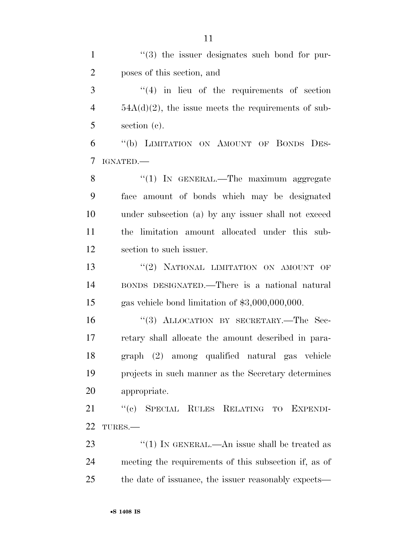| $\mathbf{1}$   | $(3)$ the issuer designates such bond for pur-         |
|----------------|--------------------------------------------------------|
| $\overline{2}$ | poses of this section, and                             |
| 3              | $(4)$ in lieu of the requirements of section           |
| $\overline{4}$ | $54A(d)(2)$ , the issue meets the requirements of sub- |
| 5              | section (c).                                           |
| 6              | "(b) LIMITATION ON AMOUNT OF BONDS DES-                |
| 7              | IGNATED.                                               |
| 8              | " $(1)$ In GENERAL.—The maximum aggregate              |
| 9              | face amount of bonds which may be designated           |
| 10             | under subsection (a) by any issuer shall not exceed    |
| 11             | the limitation amount allocated under this sub-        |
| 12             | section to such issuer.                                |
| 13             | "(2) NATIONAL LIMITATION ON AMOUNT OF                  |
| 14             | BONDS DESIGNATED.—There is a national natural          |
| 15             | gas vehicle bond limitation of $$3,000,000,000$ .      |
| 16             | "(3) ALLOCATION BY SECRETARY.—The Sec-                 |
| 17             | retary shall allocate the amount described in para-    |
| 18             | graph (2) among qualified natural gas vehicle          |
| 19             | projects in such manner as the Secretary determines    |
| 20             | appropriate.                                           |
| 21             | "(c) SPECIAL RULES RELATING TO EXPENDI-                |

TURES.—

23 ''(1) IN GENERAL.—An issue shall be treated as meeting the requirements of this subsection if, as of the date of issuance, the issuer reasonably expects—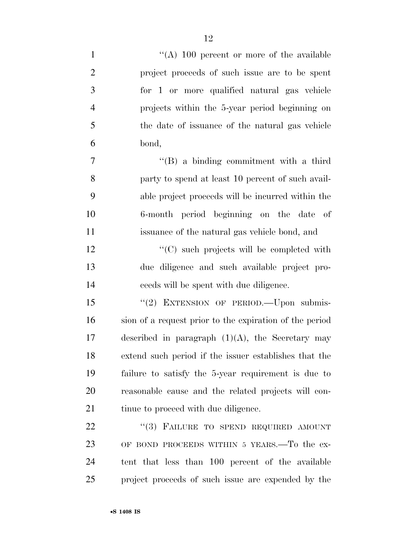| $\mathbf{1}$     | "(A) $100$ percent or more of the available             |
|------------------|---------------------------------------------------------|
| $\mathbf{2}$     | project proceeds of such issue are to be spent          |
| $\mathfrak{Z}$   | for 1 or more qualified natural gas vehicle             |
| $\overline{4}$   | projects within the 5-year period beginning on          |
| $\mathfrak{S}$   | the date of issuance of the natural gas vehicle         |
| 6                | bond,                                                   |
| $\boldsymbol{7}$ | "(B) a binding commitment with a third                  |
| 8                | party to spend at least 10 percent of such avail-       |
| 9                | able project proceeds will be incurred within the       |
| 10               | 6-month period beginning on the date of                 |
| 11               | issuance of the natural gas vehicle bond, and           |
| 12               | $\cdot$ (C) such projects will be completed with        |
| 13               | due diligence and such available project pro-           |
| 14               | ceeds will be spent with due diligence.                 |
| 15               | "(2) EXTENSION OF PERIOD. - Upon submis-                |
| 16               | sion of a request prior to the expiration of the period |
| 17               | described in paragraph $(1)(A)$ , the Secretary may     |
| 18               | extend such period if the issuer establishes that the   |
| 19               | failure to satisfy the 5-year requirement is due to     |
| 20               | reasonable cause and the related projects will con-     |
| 21               | tinue to proceed with due diligence.                    |
| 22               | "(3) FAILURE TO SPEND REQUIRED AMOUNT                   |
| 23               | OF BOND PROCEEDS WITHIN 5 YEARS.—To the ex-             |
| 24               | tent that less than 100 percent of the available        |
| 25               | project proceeds of such issue are expended by the      |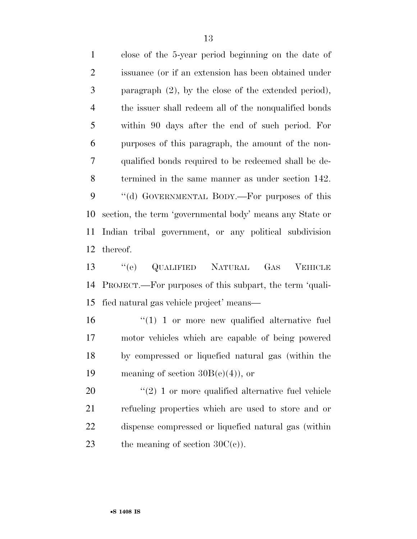close of the 5-year period beginning on the date of issuance (or if an extension has been obtained under paragraph (2), by the close of the extended period), the issuer shall redeem all of the nonqualified bonds within 90 days after the end of such period. For purposes of this paragraph, the amount of the non- qualified bonds required to be redeemed shall be de- termined in the same manner as under section 142. 9 "(d) GOVERNMENTAL BODY.—For purposes of this section, the term 'governmental body' means any State or Indian tribal government, or any political subdivision thereof.

 ''(e) QUALIFIED NATURAL GAS VEHICLE PROJECT.—For purposes of this subpart, the term 'quali-fied natural gas vehicle project' means—

16 "(1) 1 or more new qualified alternative fuel motor vehicles which are capable of being powered by compressed or liquefied natural gas (within the 19 meaning of section  $30B(e)(4)$ , or

 ''(2) 1 or more qualified alternative fuel vehicle refueling properties which are used to store and or dispense compressed or liquefied natural gas (within 23 the meaning of section  $30C(e)$ .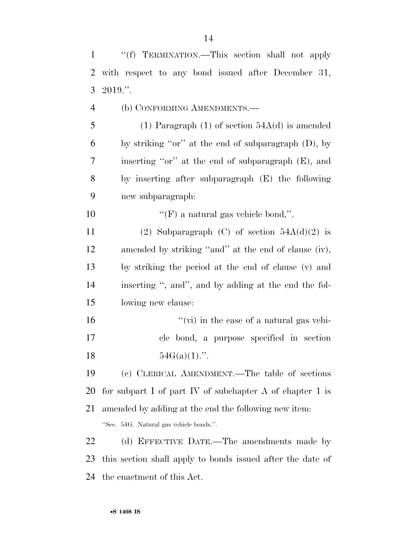| 2              | with respect to any bond issued after December 31,         |
|----------------|------------------------------------------------------------|
| 3              | 2019."                                                     |
| $\overline{4}$ | (b) CONFORMING AMENDMENTS.—                                |
| 5              | (1) Paragraph (1) of section $54A(d)$ is amended           |
| 6              | by striking " $or$ " at the end of subparagraph $(D)$ , by |
| 7              | inserting "or" at the end of subparagraph (E), and         |
| 8              | by inserting after subparagraph (E) the following          |
| 9              | new subparagraph:                                          |
| 10             | "(F) a natural gas vehicle bond,".                         |
| 11             | (2) Subparagraph (C) of section $54A(d)(2)$ is             |
| 12             | amended by striking "and" at the end of clause (iv),       |
| 13             | by striking the period at the end of clause (v) and        |
| 14             | inserting ", and", and by adding at the end the fol-       |
| 15             | lowing new clause:                                         |
| 16             | "(vi) in the case of a natural gas vehi-                   |
| 17             | cle bond, a purpose specified in section                   |
| 18             | $54G(a)(1)$ .".                                            |
| 19             | (c) CLERICAL AMENDMENT.—The table of sections              |
| 20             | for subpart I of part IV of subchapter A of chapter 1 is   |
| 21             | amended by adding at the end the following new item.       |
|                | "Sec. 54G. Natural gas vehicle bonds.".                    |
| 22             | (d) EFFECTIVE DATE.—The amendments made by                 |
| 23             | this section shall apply to bonds issued after the date of |
|                |                                                            |

the enactment of this Act.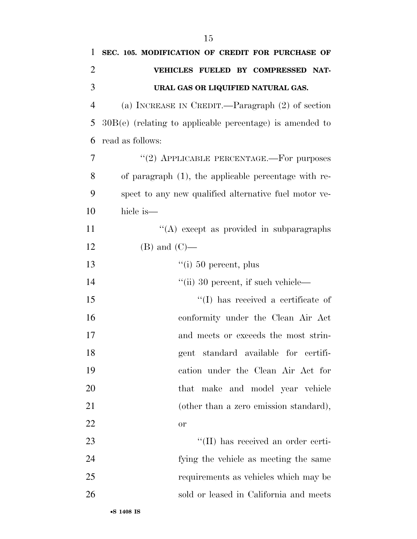| 1              | SEC. 105. MODIFICATION OF CREDIT FOR PURCHASE OF           |
|----------------|------------------------------------------------------------|
| $\overline{2}$ | VEHICLES FUELED BY COMPRESSED NAT-                         |
| 3              | URAL GAS OR LIQUIFIED NATURAL GAS.                         |
| $\overline{4}$ | (a) INCREASE IN CREDIT.—Paragraph (2) of section           |
| 5              | $30B(e)$ (relating to applicable percentage) is amended to |
| 6              | read as follows:                                           |
| 7              | "(2) APPLICABLE PERCENTAGE.—For purposes                   |
| 8              | of paragraph (1), the applicable percentage with re-       |
| 9              | spect to any new qualified alternative fuel motor ve-      |
| 10             | hicle is—                                                  |
| 11             | "(A) except as provided in subparagraphs                   |
| 12             | $(B)$ and $(C)$ —                                          |
| 13             | $``(i) 50$ percent, plus                                   |
| 14             | $\lq$ <sup>"</sup> (ii) 30 percent, if such vehicle—       |
| 15             | "(I) has received a certificate of                         |
| 16             | conformity under the Clean Air Act                         |
| 17             | and meets or exceeds the most strin-                       |
| 18             | gent standard available for certifi-                       |
| 19             | cation under the Clean Air Act for                         |
| 20             | that make and model year vehicle                           |
| 21             | (other than a zero emission standard),                     |
| 22             | or                                                         |
| 23             | "(II) has received an order certi-                         |
| 24             | fying the vehicle as meeting the same                      |
| 25             | requirements as vehicles which may be                      |
| 26             | sold or leased in California and meets                     |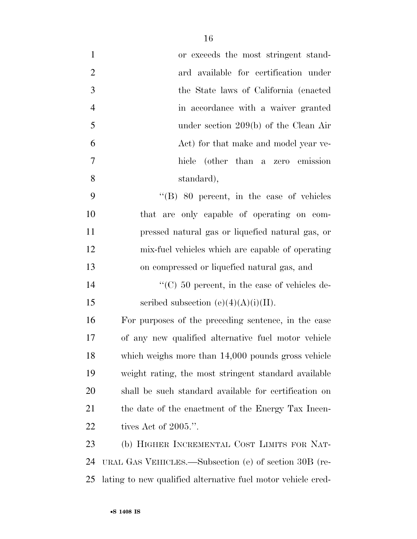| $\mathbf{1}$   | or exceeds the most stringent stand-                         |
|----------------|--------------------------------------------------------------|
| $\overline{2}$ | ard available for certification under                        |
| 3              | the State laws of California (enacted)                       |
| $\overline{4}$ | in accordance with a waiver granted                          |
| 5              | under section $209(b)$ of the Clean Air                      |
| 6              | Act) for that make and model year ve-                        |
| 7              | hicle (other than a zero emission                            |
| 8              | standard),                                                   |
| 9              | $\cdot$ (B) 80 percent, in the case of vehicles              |
| 10             | that are only capable of operating on com-                   |
| 11             | pressed natural gas or liquefied natural gas, or             |
| 12             | mix-fuel vehicles which are capable of operating             |
| 13             | on compressed or liquefied natural gas, and                  |
| 14             | $\cdot$ (C) 50 percent, in the case of vehicles de-          |
| 15             | scribed subsection (e)(4)(A)(i)(II).                         |
| 16             | For purposes of the preceding sentence, in the case          |
| 17             | of any new qualified alternative fuel motor vehicle          |
| 18             | which weighs more than 14,000 pounds gross vehicle           |
| 19             | weight rating, the most stringent standard available         |
| 20             | shall be such standard available for certification on        |
| 21             | the date of the enactment of the Energy Tax Incen-           |
| 22             | tives Act of $2005$ .".                                      |
| 23             | (b) HIGHER INCREMENTAL COST LIMITS FOR NAT-                  |
| 24             | URAL GAS VEHICLES.—Subsection (e) of section 30B (re-        |
| 25             | lating to new qualified alternative fuel motor vehicle cred- |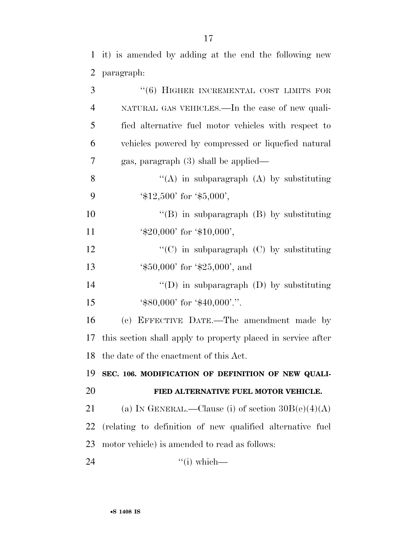it) is amended by adding at the end the following new paragraph:

| 3              | "(6) HIGHER INCREMENTAL COST LIMITS FOR                                 |
|----------------|-------------------------------------------------------------------------|
| $\overline{4}$ | NATURAL GAS VEHICLES.—In the case of new quali-                         |
| 5              | fied alternative fuel motor vehicles with respect to                    |
| 6              | vehicles powered by compressed or liquefied natural                     |
| $\overline{7}$ | gas, paragraph $(3)$ shall be applied—                                  |
| 8              | "(A) in subparagraph (A) by substituting                                |
| 9              | $\text{\textdegree{*}}12,500'$ for $\text{\textdegree{*}}5,000'$ ,      |
| 10             | "(B) in subparagraph $(B)$ by substituting                              |
| 11             | $\text{\textdegree{*}}20,000'$ for $\text{\textdegree{*}}10,000'$ ,     |
| 12             | "(C) in subparagraph $(C)$ by substituting                              |
| 13             | $\text{\textdegree{*}}50,000'$ for $\text{\textdegree{*}}25,000'$ , and |
| 14             | "(D) in subparagraph $(D)$ by substituting                              |
| 15             | $\text{\textdegree{*}}80,000'$ for $\text{\textdegree{*}}40,000'$ .".   |
| 16             | (c) EFFECTIVE DATE.—The amendment made by                               |
| 17             | this section shall apply to property placed in service after            |
| 18             | the date of the enactment of this Act.                                  |
| 19             | SEC. 106. MODIFICATION OF DEFINITION OF NEW QUALI-                      |
| 20             | FIED ALTERNATIVE FUEL MOTOR VEHICLE.                                    |
| 21             | (a) IN GENERAL.—Clause (i) of section $30B(e)(4)(A)$                    |
| 22             | (relating to definition of new qualified alternative fuel               |
| 23             | motor vehicle) is amended to read as follows:                           |
| 24             | $``(i) which$ —                                                         |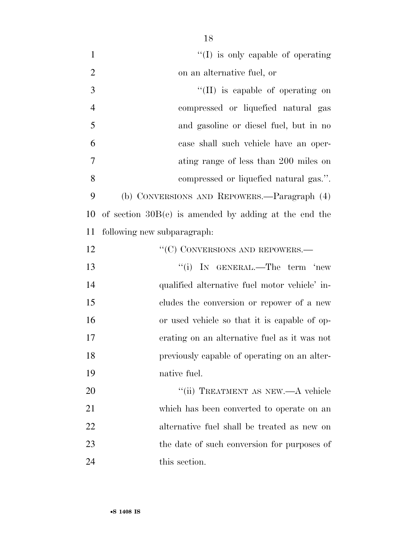| $\mathbf{1}$   | $\lq\lq$ (I) is only capable of operating               |
|----------------|---------------------------------------------------------|
| $\overline{2}$ | on an alternative fuel, or                              |
| 3              | $\lq$ (II) is capable of operating on                   |
| $\overline{4}$ | compressed or liquefied natural gas                     |
| 5              | and gasoline or diesel fuel, but in no                  |
| 6              | case shall such vehicle have an oper-                   |
| 7              | ating range of less than 200 miles on                   |
| 8              | compressed or liquefied natural gas.".                  |
| 9              | (b) CONVERSIONS AND REPOWERS.—Paragraph (4)             |
| 10             | of section $30B(e)$ is amended by adding at the end the |
| 11             | following new subparagraph:                             |
| 12             | "(C) CONVERSIONS AND REPOWERS.—                         |
| 13             | "(i) IN GENERAL.—The term 'new                          |
| 14             | qualified alternative fuel motor vehicle' in-           |
| 15             | cludes the conversion or repower of a new               |
| 16             | or used vehicle so that it is capable of op-            |
| 17             | erating on an alternative fuel as it was not            |
| 18             | previously capable of operating on an alter-            |
| 19             | native fuel.                                            |
| 20             | "(ii) TREATMENT AS NEW.—A vehicle                       |
| 21             | which has been converted to operate on an               |
| 22             | alternative fuel shall be treated as new on             |
| 23             | the date of such conversion for purposes of             |
| 24             | this section.                                           |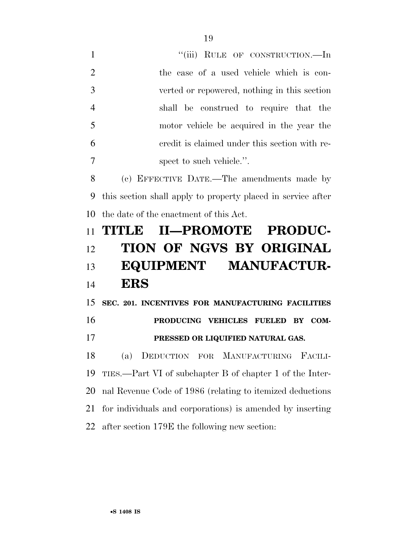1 "(iii) RULE OF CONSTRUCTION.—In the case of a used vehicle which is con- verted or repowered, nothing in this section shall be construed to require that the motor vehicle be acquired in the year the credit is claimed under this section with re-spect to such vehicle.''.

 (c) EFFECTIVE DATE.—The amendments made by this section shall apply to property placed in service after the date of the enactment of this Act.

# **TITLE II—PROMOTE PRODUC- TION OF NGVS BY ORIGINAL EQUIPMENT MANUFACTUR-ERS**

 **SEC. 201. INCENTIVES FOR MANUFACTURING FACILITIES PRODUCING VEHICLES FUELED BY COM-PRESSED OR LIQUIFIED NATURAL GAS.** 

 (a) DEDUCTION FOR MANUFACTURING FACILI- TIES.—Part VI of subchapter B of chapter 1 of the Inter- nal Revenue Code of 1986 (relating to itemized deductions for individuals and corporations) is amended by inserting after section 179E the following new section: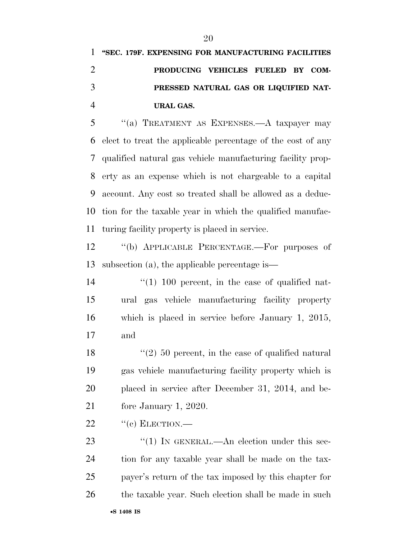## **''SEC. 179F. EXPENSING FOR MANUFACTURING FACILITIES PRODUCING VEHICLES FUELED BY COM- PRESSED NATURAL GAS OR LIQUIFIED NAT-URAL GAS.**

 ''(a) TREATMENT AS EXPENSES.—A taxpayer may elect to treat the applicable percentage of the cost of any qualified natural gas vehicle manufacturing facility prop- erty as an expense which is not chargeable to a capital account. Any cost so treated shall be allowed as a deduc- tion for the taxable year in which the qualified manufac-turing facility property is placed in service.

 ''(b) APPLICABLE PERCENTAGE.—For purposes of subsection (a), the applicable percentage is—

 $\frac{1}{100}$  percent, in the case of qualified nat- ural gas vehicle manufacturing facility property which is placed in service before January 1, 2015, and

 $\frac{1}{2}$  (2) 50 percent, in the case of qualified natural gas vehicle manufacturing facility property which is placed in service after December 31, 2014, and be-fore January 1, 2020.

"(c) ELECTION.—

23 "(1) IN GENERAL.—An election under this sec- tion for any taxable year shall be made on the tax- payer's return of the tax imposed by this chapter for 26 the taxable year. Such election shall be made in such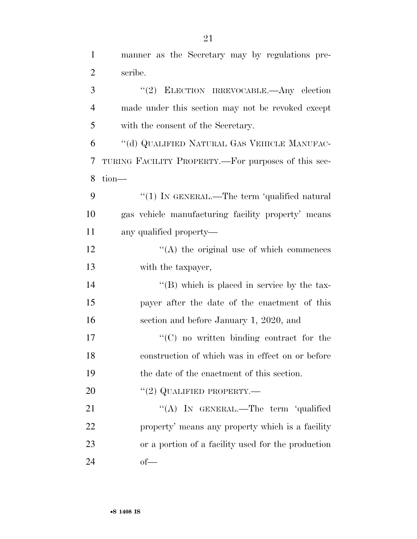manner as the Secretary may by regulations pre-

| $\overline{2}$ | scribe.                                             |
|----------------|-----------------------------------------------------|
| 3              | "(2) ELECTION IRREVOCABLE.—Any election             |
| $\overline{4}$ | made under this section may not be revoked except   |
| 5              | with the consent of the Secretary.                  |
| 6              | "(d) QUALIFIED NATURAL GAS VEHICLE MANUFAC-         |
| 7              | TURING FACILITY PROPERTY.—For purposes of this sec- |
| 8              | tion-                                               |
| 9              | "(1) IN GENERAL.—The term 'qualified natural        |
| 10             | gas vehicle manufacturing facility property' means  |
| 11             | any qualified property—                             |
| 12             | $\lq\lq$ the original use of which commences        |
| 13             | with the taxpayer,                                  |
| 14             | $\lq\lq$ (B) which is placed in service by the tax- |
| 15             | payer after the date of the enactment of this       |
| 16             | section and before January 1, 2020, and             |
| 17             | $\lq\lq$ (C) no written binding contract for the    |
| 18             | construction of which was in effect on or before    |
| 19             | the date of the enactment of this section.          |
| 20             | $``(2)$ QUALIFIED PROPERTY.—                        |
| 21             | "(A) IN GENERAL.—The term 'qualified                |
| 22             | property' means any property which is a facility    |
| 23             | or a portion of a facility used for the production  |
| 24             | $of$ —                                              |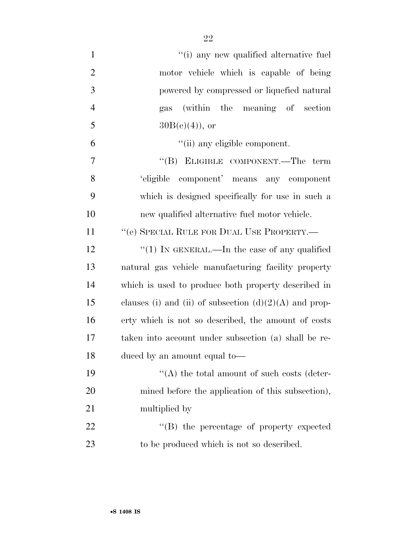| $\mathbf{1}$     | "(i) any new qualified alternative fuel                  |
|------------------|----------------------------------------------------------|
| $\overline{2}$   | motor vehicle which is capable of being                  |
| 3                | powered by compressed or liquefied natural               |
| $\overline{4}$   | gas (within the meaning of section                       |
| 5                | $30B(e)(4)$ , or                                         |
| 6                | "(ii) any eligible component.                            |
| $\boldsymbol{7}$ | "(B) ELIGIBLE COMPONENT.—The term                        |
| 8                | 'eligible component' means any component                 |
| 9                | which is designed specifically for use in such a         |
| 10               | new qualified alternative fuel motor vehicle.            |
| 11               | "(e) SPECIAL RULE FOR DUAL USE PROPERTY.—                |
| 12               | "(1) IN GENERAL.—In the case of any qualified            |
| 13               | natural gas vehicle manufacturing facility property      |
| 14               | which is used to produce both property described in      |
| 15               | clauses (i) and (ii) of subsection $(d)(2)(A)$ and prop- |
| 16               | erty which is not so described, the amount of costs      |
| 17               | taken into account under subsection (a) shall be re-     |
| 18               | duced by an amount equal to-                             |
| 19               | "(A) the total amount of such costs (deter-              |
| 20               | mined before the application of this subsection),        |
| 21               | multiplied by                                            |
| 22               | "(B) the percentage of property expected                 |
| 23               | to be produced which is not so described.                |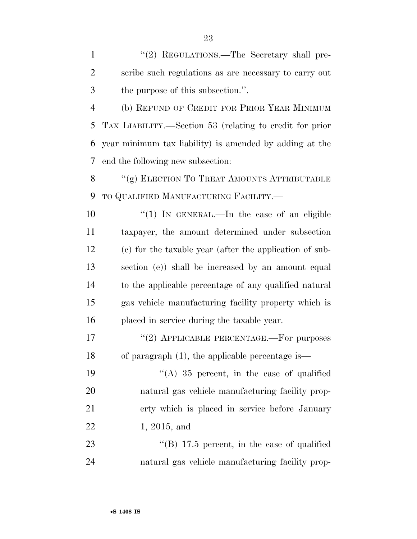1 "(2) REGULATIONS.—The Secretary shall pre- scribe such regulations as are necessary to carry out the purpose of this subsection.''.

 (b) REFUND OF CREDIT FOR PRIOR YEAR MINIMUM TAX LIABILITY.—Section 53 (relating to credit for prior year minimum tax liability) is amended by adding at the end the following new subsection:

8 "(g) ELECTION TO TREAT AMOUNTS ATTRIBUTABLE TO QUALIFIED MANUFACTURING FACILITY.—

 $\frac{1}{1}$  IN GENERAL.—In the case of an eligible taxpayer, the amount determined under subsection (c) for the taxable year (after the application of sub- section (e)) shall be increased by an amount equal to the applicable percentage of any qualified natural gas vehicle manufacturing facility property which is placed in service during the taxable year.

17 "(2) APPLICABLE PERCENTAGE.—For purposes of paragraph (1), the applicable percentage is—

 $((A)$  35 percent, in the case of qualified natural gas vehicle manufacturing facility prop- erty which is placed in service before January 1, 2015, and

23 "(B) 17.5 percent, in the case of qualified natural gas vehicle manufacturing facility prop-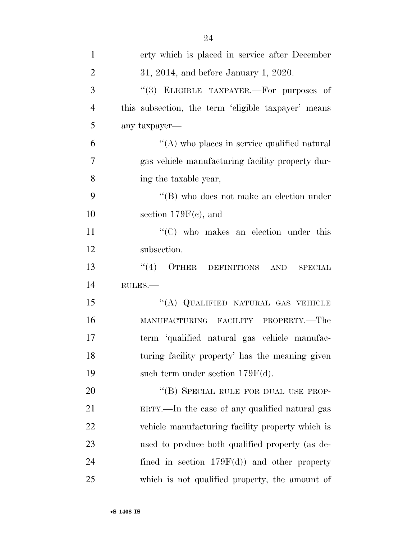| $\mathbf{1}$   | erty which is placed in service after December      |
|----------------|-----------------------------------------------------|
| $\overline{2}$ | 31, 2014, and before January 1, 2020.               |
| 3              | "(3) ELIGIBLE TAXPAYER.—For purposes of             |
| $\overline{4}$ | this subsection, the term 'eligible taxpayer' means |
| 5              | any taxpayer—                                       |
| 6              | $\lq\lq$ who places in service qualified natural    |
| 7              | gas vehicle manufacturing facility property dur-    |
| 8              | ing the taxable year,                               |
| 9              | $\lq\lq$ (B) who does not make an election under    |
| 10             | section $179F(c)$ , and                             |
| 11             | $\cdot$ (C) who makes an election under this        |
| 12             | subsection.                                         |
| 13             | "(4) OTHER DEFINITIONS AND<br><b>SPECIAL</b>        |
| 14             | RULES.                                              |
| 15             | "(A) QUALIFIED NATURAL GAS VEHICLE                  |
| 16             | MANUFACTURING FACILITY PROPERTY.—The                |
| 17             | term 'qualified natural gas vehicle manufac-        |
| 18             | turing facility property' has the meaning given     |
| 19             | such term under section $179F(d)$ .                 |
| 20             | "(B) SPECIAL RULE FOR DUAL USE PROP-                |
| 21             | ERTY.—In the case of any qualified natural gas      |
| 22             | vehicle manufacturing facility property which is    |
| 23             | used to produce both qualified property (as de-     |
| 24             | fined in section $179F(d)$ and other property       |
| 25             | which is not qualified property, the amount of      |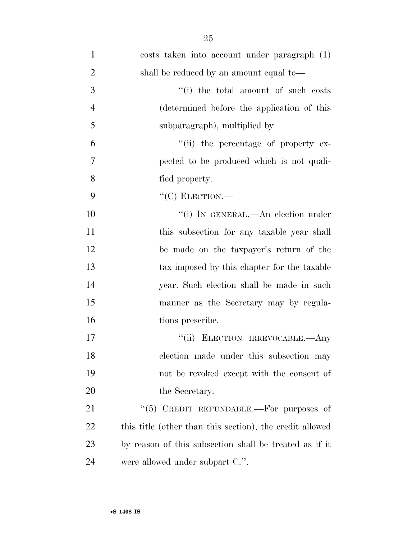| $\mathbf{1}$   | costs taken into account under paragraph (1)             |
|----------------|----------------------------------------------------------|
| $\overline{2}$ | shall be reduced by an amount equal to—                  |
| 3              | "(i) the total amount of such costs                      |
| $\overline{4}$ | (determined before the application of this               |
| 5              | subparagraph), multiplied by                             |
| 6              | "(ii) the percentage of property ex-                     |
| 7              | pected to be produced which is not quali-                |
| 8              | fied property.                                           |
| 9              | $``(C)$ ELECTION.—                                       |
| 10             | "(i) IN GENERAL.—An election under                       |
| 11             | this subsection for any taxable year shall               |
| 12             | be made on the taxpayer's return of the                  |
| 13             | tax imposed by this chapter for the taxable              |
| 14             | year. Such election shall be made in such                |
| 15             | manner as the Secretary may by regula-                   |
| 16             | tions prescribe.                                         |
| 17             | "(ii) ELECTION IRREVOCABLE.—Any                          |
| 18             | election made under this subsection may                  |
| 19             | not be revoked except with the consent of                |
| 20             | the Secretary.                                           |
| 21             | "(5) CREDIT REFUNDABLE.—For purposes of                  |
| 22             | this title (other than this section), the credit allowed |
| 23             | by reason of this subsection shall be treated as if it   |
| 24             | were allowed under subpart C.".                          |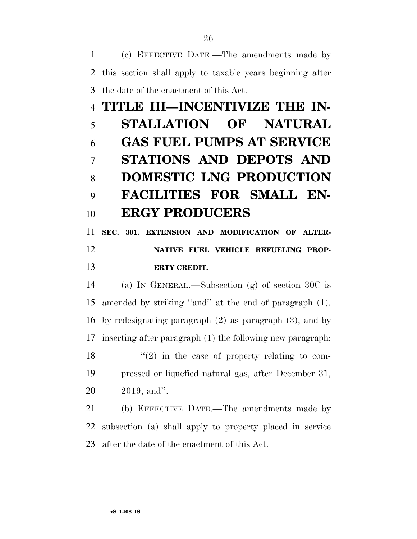(c) EFFECTIVE DATE.—The amendments made by this section shall apply to taxable years beginning after the date of the enactment of this Act.

# **TITLE III—INCENTIVIZE THE IN- STALLATION OF NATURAL GAS FUEL PUMPS AT SERVICE STATIONS AND DEPOTS AND DOMESTIC LNG PRODUCTION FACILITIES FOR SMALL EN-ERGY PRODUCERS**

 **SEC. 301. EXTENSION AND MODIFICATION OF ALTER- NATIVE FUEL VEHICLE REFUELING PROP-ERTY CREDIT.** 

 (a) IN GENERAL.—Subsection (g) of section 30C is amended by striking ''and'' at the end of paragraph (1), by redesignating paragraph (2) as paragraph (3), and by inserting after paragraph (1) the following new paragraph:  $\langle \cdot (2) \rangle$  in the case of property relating to com- pressed or liquefied natural gas, after December 31, 2019, and''.

 (b) EFFECTIVE DATE.—The amendments made by subsection (a) shall apply to property placed in service after the date of the enactment of this Act.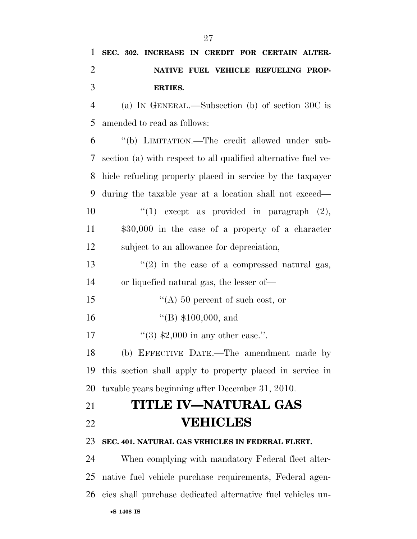| 1              | SEC. 302. INCREASE IN CREDIT FOR CERTAIN ALTER-                |
|----------------|----------------------------------------------------------------|
| $\overline{2}$ | NATIVE FUEL VEHICLE REFUELING PROP-                            |
| 3              | <b>ERTIES.</b>                                                 |
| $\overline{4}$ | (a) IN GENERAL.—Subsection (b) of section 30C is               |
| 5              | amended to read as follows:                                    |
| 6              | "(b) LIMITATION.—The credit allowed under sub-                 |
| 7              | section (a) with respect to all qualified alternative fuel ve- |
| 8              | hicle refueling property placed in service by the taxpayer     |
| 9              | during the taxable year at a location shall not exceed—        |
| 10             | "(1) except as provided in paragraph $(2)$ ,                   |
| 11             | $$30,000$ in the case of a property of a character             |
| 12             | subject to an allowance for depreciation,                      |
| 13             | $\lq(2)$ in the case of a compressed natural gas,              |
| 14             | or liquefied natural gas, the lesser of—                       |
| 15             | $\lq (A)$ 50 percent of such cost, or                          |
| 16             | $\lq($ B) \$100,000, and                                       |
| 17             | "(3) $$2,000$ in any other case.".                             |
| 18             | (b) EFFECTIVE DATE.—The amendment made by                      |
| 19             | this section shall apply to property placed in service in      |
| 20             | taxable years beginning after December 31, 2010.               |
| 21             | TITLE IV—NATURAL GAS                                           |
| 22             | <b>VEHICLES</b>                                                |
| 23             | SEC. 401. NATURAL GAS VEHICLES IN FEDERAL FLEET.               |
| 24             | When complying with mandatory Federal fleet alter-             |
| 25             | native fuel vehicle purchase requirements, Federal agen-       |
| 26             | cies shall purchase dedicated alternative fuel vehicles un-    |